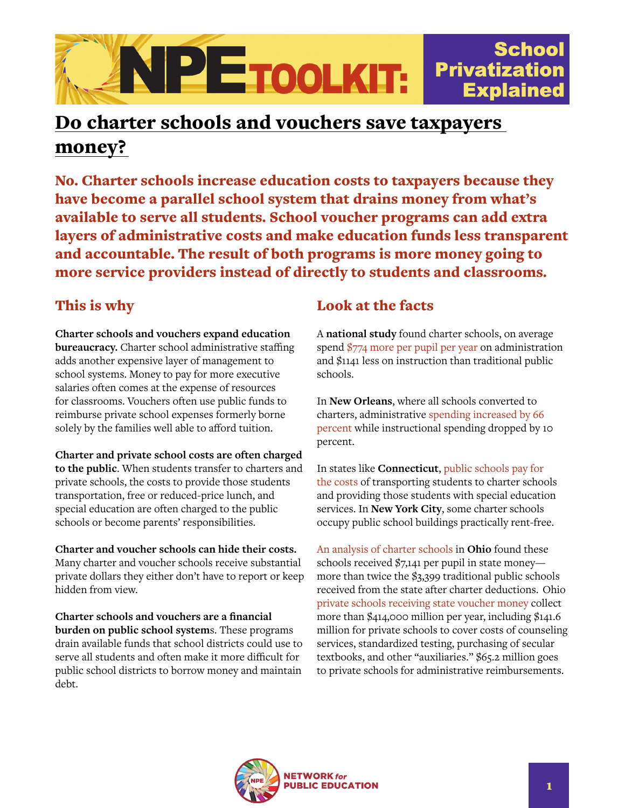

## Do charter schools and vouchers save taxpayers money?

No. Charter schools increase education costs to taxpayers because they have become a parallel school system that drains money from what's available to serve all students. School voucher programs can add extra layers of administrative costs and make education funds less transparent and accountable. The result of both programs is more money going to more service providers instead of directly to students and classrooms.

## This is why

**Charter schools and vouchers expand education bureaucracy.** Charter school administrative staffing adds another expensive layer of management to school systems. Money to pay for more executive salaries often comes at the expense of resources for classrooms. Vouchers often use public funds to reimburse private school expenses formerly borne solely by the families well able to afford tuition.

**Charter and private school costs are often charged to the public**. When students transfer to charters and private schools, the costs to provide those students transportation, free or reduced-price lunch, and special education are often charged to the public schools or become parents' responsibilities.

**Charter and voucher schools can hide their costs.** Many charter and voucher schools receive substantial private dollars they either don't have to report or keep hidden from view.

**Charter schools and vouchers are a financial burden on public school system**s. These programs drain available funds that school districts could use to serve all students and often make it more difficult for public school districts to borrow money and maintain debt.

## Look at the facts

A **national study** found charter schools, on average spend [\\$774 more per pupil per year](http://education.msu.edu/epc/library/documents/Arsen-Ni_2012_Charter_school_administration.pdf) on administration and \$1141 less on instruction than traditional public schools.

In **New Orleans**, where all schools converted to charters, administrative [spending increased by 66](https://www.future-ed.org/does-school-reform-spending-reform/)  [percent](https://www.future-ed.org/does-school-reform-spending-reform/) while instructional spending dropped by 10 percent.

In states like **Connecticut**, [public schools pay for](https://nepc.colorado.edu/thinktank/review-charter-funding-inequity)  [the costs](https://nepc.colorado.edu/thinktank/review-charter-funding-inequity) of transporting students to charter schools and providing those students with special education services. In **New York City**, some charter schools occupy public school buildings practically rent-free.

[An analysis of charter schools](https://innovationohio.org/education/k12education/news-release-charter-schools-cost-state-twice-as-much-per-student-as-traditional-schools/) in **Ohio** found these schools received \$7,141 per pupil in state money more than twice the \$3,399 traditional public schools received from the state after charter deductions. Ohio [private schools receiving state voucher money](https://www.cincinnati.com/story/news/politics/2017/03/08/private-schools-400m-public-check/97659884/) collect more than \$414,000 million per year, including \$141.6 million for private schools to cover costs of counseling services, standardized testing, purchasing of secular textbooks, and other "auxiliaries." \$65.2 million goes to private schools for administrative reimbursements.